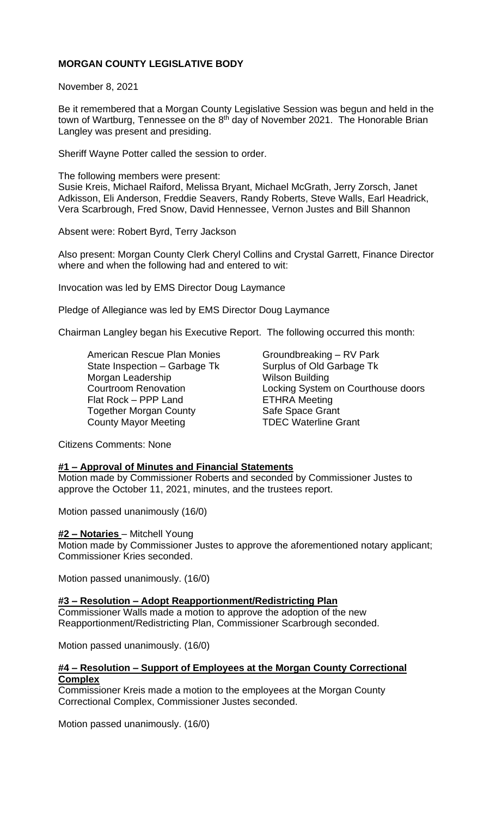# **MORGAN COUNTY LEGISLATIVE BODY**

November 8, 2021

Be it remembered that a Morgan County Legislative Session was begun and held in the town of Wartburg, Tennessee on the 8<sup>th</sup> day of November 2021. The Honorable Brian Langley was present and presiding.

Sheriff Wayne Potter called the session to order.

The following members were present: Susie Kreis, Michael Raiford, Melissa Bryant, Michael McGrath, Jerry Zorsch, Janet Adkisson, Eli Anderson, Freddie Seavers, Randy Roberts, Steve Walls, Earl Headrick, Vera Scarbrough, Fred Snow, David Hennessee, Vernon Justes and Bill Shannon

Absent were: Robert Byrd, Terry Jackson

Also present: Morgan County Clerk Cheryl Collins and Crystal Garrett, Finance Director where and when the following had and entered to wit:

Invocation was led by EMS Director Doug Laymance

Pledge of Allegiance was led by EMS Director Doug Laymance

Chairman Langley began his Executive Report. The following occurred this month:

American Rescue Plan Monies Groundbreaking - RV Park State Inspection – Garbage Tk Surplus of Old Garbage Tk Morgan Leadership Wilson Building Flat Rock – PPP Land ETHRA Meeting Together Morgan County **Safe Space Grant** County Mayor Meeting TDEC Waterline Grant

Courtroom Renovation Locking System on Courthouse doors

Citizens Comments: None

## **#1 – Approval of Minutes and Financial Statements**

Motion made by Commissioner Roberts and seconded by Commissioner Justes to approve the October 11, 2021, minutes, and the trustees report.

Motion passed unanimously (16/0)

## **#2 – Notaries** – Mitchell Young

Motion made by Commissioner Justes to approve the aforementioned notary applicant; Commissioner Kries seconded.

Motion passed unanimously. (16/0)

#### **#3 – Resolution – Adopt Reapportionment/Redistricting Plan**

Commissioner Walls made a motion to approve the adoption of the new Reapportionment/Redistricting Plan, Commissioner Scarbrough seconded.

Motion passed unanimously. (16/0)

#### **#4 – Resolution – Support of Employees at the Morgan County Correctional Complex**

Commissioner Kreis made a motion to the employees at the Morgan County Correctional Complex, Commissioner Justes seconded.

Motion passed unanimously. (16/0)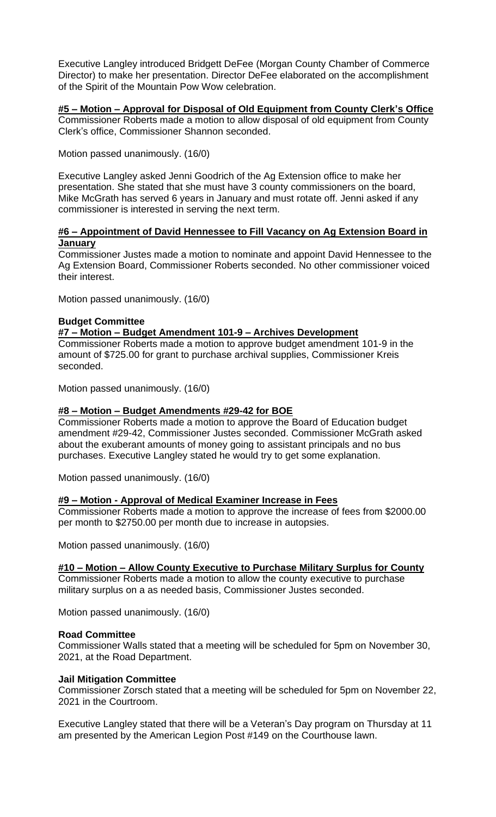Executive Langley introduced Bridgett DeFee (Morgan County Chamber of Commerce Director) to make her presentation. Director DeFee elaborated on the accomplishment of the Spirit of the Mountain Pow Wow celebration.

**#5 – Motion – Approval for Disposal of Old Equipment from County Clerk's Office** Commissioner Roberts made a motion to allow disposal of old equipment from County Clerk's office, Commissioner Shannon seconded.

Motion passed unanimously. (16/0)

Executive Langley asked Jenni Goodrich of the Ag Extension office to make her presentation. She stated that she must have 3 county commissioners on the board, Mike McGrath has served 6 years in January and must rotate off. Jenni asked if any commissioner is interested in serving the next term.

#### **#6 – Appointment of David Hennessee to Fill Vacancy on Ag Extension Board in January**

Commissioner Justes made a motion to nominate and appoint David Hennessee to the Ag Extension Board, Commissioner Roberts seconded. No other commissioner voiced their interest.

Motion passed unanimously. (16/0)

## **Budget Committee**

#### **#7 – Motion – Budget Amendment 101-9 – Archives Development**

Commissioner Roberts made a motion to approve budget amendment 101-9 in the amount of \$725.00 for grant to purchase archival supplies, Commissioner Kreis seconded.

Motion passed unanimously. (16/0)

## **#8 – Motion – Budget Amendments #29-42 for BOE**

Commissioner Roberts made a motion to approve the Board of Education budget amendment #29-42, Commissioner Justes seconded. Commissioner McGrath asked about the exuberant amounts of money going to assistant principals and no bus purchases. Executive Langley stated he would try to get some explanation.

Motion passed unanimously. (16/0)

#### **#9 – Motion - Approval of Medical Examiner Increase in Fees**

Commissioner Roberts made a motion to approve the increase of fees from \$2000.00 per month to \$2750.00 per month due to increase in autopsies.

Motion passed unanimously. (16/0)

# **#10 – Motion – Allow County Executive to Purchase Military Surplus for County**

Commissioner Roberts made a motion to allow the county executive to purchase military surplus on a as needed basis, Commissioner Justes seconded.

Motion passed unanimously. (16/0)

#### **Road Committee**

Commissioner Walls stated that a meeting will be scheduled for 5pm on November 30, 2021, at the Road Department.

#### **Jail Mitigation Committee**

Commissioner Zorsch stated that a meeting will be scheduled for 5pm on November 22, 2021 in the Courtroom.

Executive Langley stated that there will be a Veteran's Day program on Thursday at 11 am presented by the American Legion Post #149 on the Courthouse lawn.